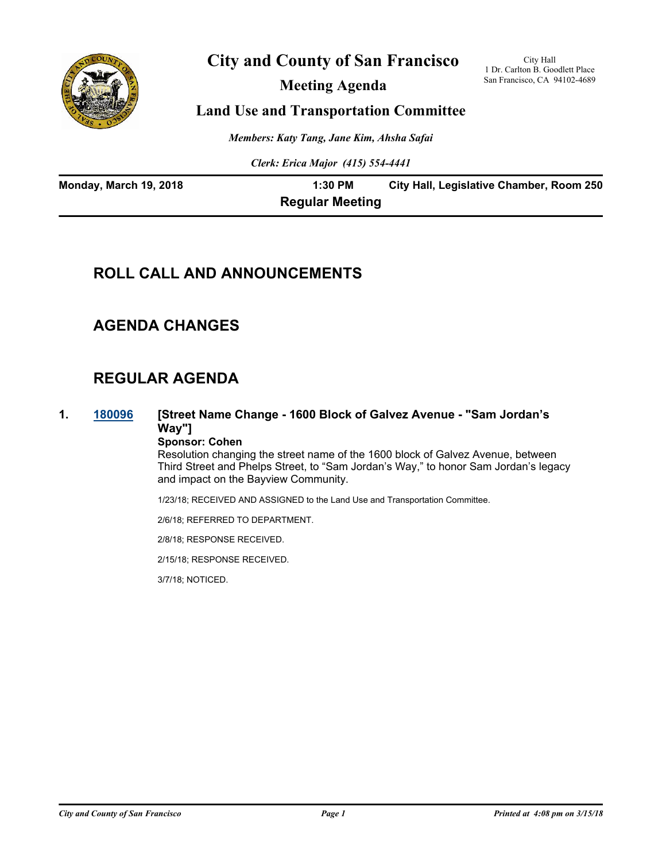

# **City and County of San Francisco**

**Meeting Agenda**

City Hall 1 Dr. Carlton B. Goodlett Place San Francisco, CA 94102-4689

### **Land Use and Transportation Committee**

*Members: Katy Tang, Jane Kim, Ahsha Safai*

*Clerk: Erica Major (415) 554-4441*

| Monday, March 19, 2018 | 1:30 PM                | City Hall, Legislative Chamber, Room 250 |
|------------------------|------------------------|------------------------------------------|
|                        | <b>Regular Meeting</b> |                                          |

# **ROLL CALL AND ANNOUNCEMENTS**

# **AGENDA CHANGES**

# **REGULAR AGENDA**

**1. [180096](http://sfgov.legistar.com/gateway.aspx?m=l&id=32965) [Street Name Change - 1600 Block of Galvez Avenue - "Sam Jordan's Way"] Sponsor: Cohen**

Resolution changing the street name of the 1600 block of Galvez Avenue, between Third Street and Phelps Street, to "Sam Jordan's Way," to honor Sam Jordan's legacy and impact on the Bayview Community.

1/23/18; RECEIVED AND ASSIGNED to the Land Use and Transportation Committee.

2/6/18; REFERRED TO DEPARTMENT.

2/8/18; RESPONSE RECEIVED.

2/15/18; RESPONSE RECEIVED.

3/7/18; NOTICED.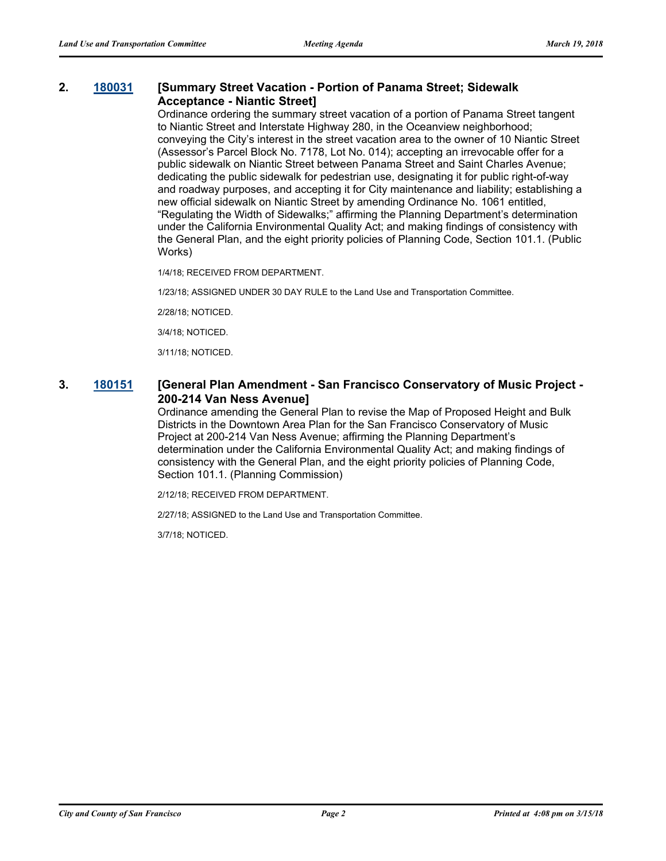#### **2. [180031](http://sfgov.legistar.com/gateway.aspx?m=l&id=32900) [Summary Street Vacation - Portion of Panama Street; Sidewalk Acceptance - Niantic Street]**

Ordinance ordering the summary street vacation of a portion of Panama Street tangent to Niantic Street and Interstate Highway 280, in the Oceanview neighborhood; conveying the City's interest in the street vacation area to the owner of 10 Niantic Street (Assessor's Parcel Block No. 7178, Lot No. 014); accepting an irrevocable offer for a public sidewalk on Niantic Street between Panama Street and Saint Charles Avenue; dedicating the public sidewalk for pedestrian use, designating it for public right-of-way and roadway purposes, and accepting it for City maintenance and liability; establishing a new official sidewalk on Niantic Street by amending Ordinance No. 1061 entitled, "Regulating the Width of Sidewalks;" affirming the Planning Department's determination under the California Environmental Quality Act; and making findings of consistency with the General Plan, and the eight priority policies of Planning Code, Section 101.1. (Public Works)

1/4/18; RECEIVED FROM DEPARTMENT.

1/23/18; ASSIGNED UNDER 30 DAY RULE to the Land Use and Transportation Committee.

2/28/18; NOTICED.

3/4/18; NOTICED.

3/11/18; NOTICED.

#### **3. [180151](http://sfgov.legistar.com/gateway.aspx?m=l&id=33020) [General Plan Amendment - San Francisco Conservatory of Music Project - 200-214 Van Ness Avenue]**

Ordinance amending the General Plan to revise the Map of Proposed Height and Bulk Districts in the Downtown Area Plan for the San Francisco Conservatory of Music Project at 200-214 Van Ness Avenue; affirming the Planning Department's determination under the California Environmental Quality Act; and making findings of consistency with the General Plan, and the eight priority policies of Planning Code, Section 101.1. (Planning Commission)

2/12/18; RECEIVED FROM DEPARTMENT.

2/27/18; ASSIGNED to the Land Use and Transportation Committee.

3/7/18; NOTICED.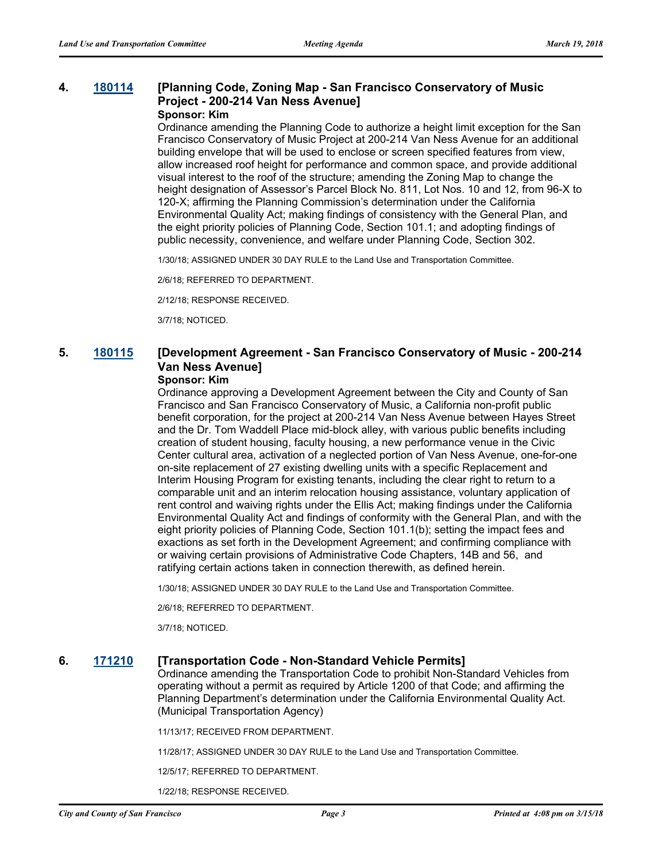## **4. [180114](http://sfgov.legistar.com/gateway.aspx?m=l&id=32983) [Planning Code, Zoning Map - San Francisco Conservatory of Music Project - 200-214 Van Ness Avenue]**

### **Sponsor: Kim**

Ordinance amending the Planning Code to authorize a height limit exception for the San Francisco Conservatory of Music Project at 200-214 Van Ness Avenue for an additional building envelope that will be used to enclose or screen specified features from view, allow increased roof height for performance and common space, and provide additional visual interest to the roof of the structure; amending the Zoning Map to change the height designation of Assessor's Parcel Block No. 811, Lot Nos. 10 and 12, from 96-X to 120-X; affirming the Planning Commission's determination under the California Environmental Quality Act; making findings of consistency with the General Plan, and the eight priority policies of Planning Code, Section 101.1; and adopting findings of public necessity, convenience, and welfare under Planning Code, Section 302.

1/30/18; ASSIGNED UNDER 30 DAY RULE to the Land Use and Transportation Committee.

2/6/18; REFERRED TO DEPARTMENT.

2/12/18; RESPONSE RECEIVED.

3/7/18; NOTICED.

### **5. [180115](http://sfgov.legistar.com/gateway.aspx?m=l&id=32984) [Development Agreement - San Francisco Conservatory of Music - 200-214 Van Ness Avenue]**

#### **Sponsor: Kim**

Ordinance approving a Development Agreement between the City and County of San Francisco and San Francisco Conservatory of Music, a California non-profit public benefit corporation, for the project at 200-214 Van Ness Avenue between Hayes Street and the Dr. Tom Waddell Place mid-block alley, with various public benefits including creation of student housing, faculty housing, a new performance venue in the Civic Center cultural area, activation of a neglected portion of Van Ness Avenue, one-for-one on-site replacement of 27 existing dwelling units with a specific Replacement and Interim Housing Program for existing tenants, including the clear right to return to a comparable unit and an interim relocation housing assistance, voluntary application of rent control and waiving rights under the Ellis Act; making findings under the California Environmental Quality Act and findings of conformity with the General Plan, and with the eight priority policies of Planning Code, Section 101.1(b); setting the impact fees and exactions as set forth in the Development Agreement; and confirming compliance with or waiving certain provisions of Administrative Code Chapters, 14B and 56, and ratifying certain actions taken in connection therewith, as defined herein.

1/30/18; ASSIGNED UNDER 30 DAY RULE to the Land Use and Transportation Committee.

2/6/18; REFERRED TO DEPARTMENT.

3/7/18; NOTICED.

#### **6. [171210](http://sfgov.legistar.com/gateway.aspx?m=l&id=32752) [Transportation Code - Non-Standard Vehicle Permits]**

Ordinance amending the Transportation Code to prohibit Non-Standard Vehicles from operating without a permit as required by Article 1200 of that Code; and affirming the Planning Department's determination under the California Environmental Quality Act. (Municipal Transportation Agency)

11/13/17; RECEIVED FROM DEPARTMENT.

11/28/17; ASSIGNED UNDER 30 DAY RULE to the Land Use and Transportation Committee.

12/5/17; REFERRED TO DEPARTMENT.

1/22/18; RESPONSE RECEIVED.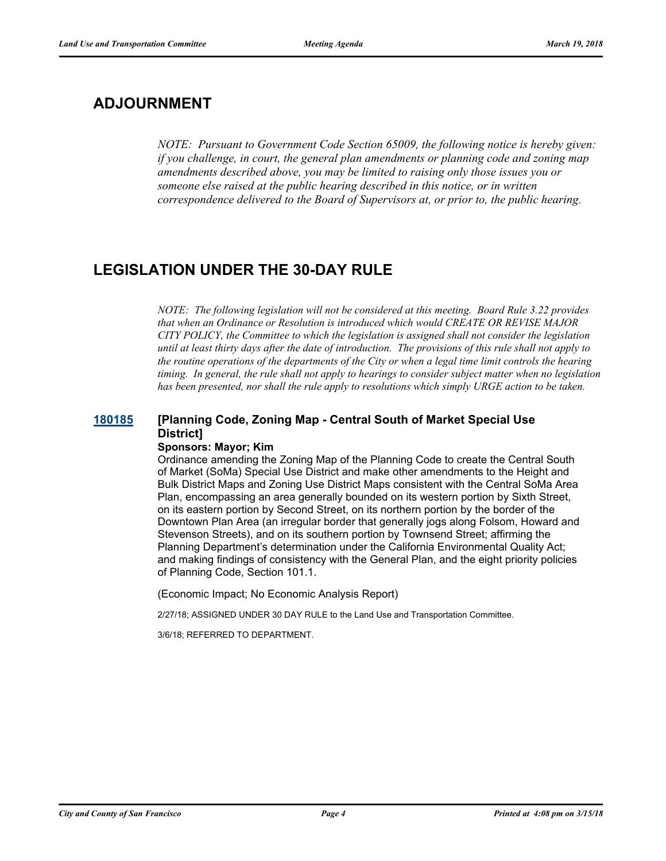# **ADJOURNMENT**

*NOTE: Pursuant to Government Code Section 65009, the following notice is hereby given: if you challenge, in court, the general plan amendments or planning code and zoning map amendments described above, you may be limited to raising only those issues you or someone else raised at the public hearing described in this notice, or in written correspondence delivered to the Board of Supervisors at, or prior to, the public hearing.*

# **LEGISLATION UNDER THE 30-DAY RULE**

*NOTE: The following legislation will not be considered at this meeting. Board Rule 3.22 provides that when an Ordinance or Resolution is introduced which would CREATE OR REVISE MAJOR CITY POLICY, the Committee to which the legislation is assigned shall not consider the legislation until at least thirty days after the date of introduction. The provisions of this rule shall not apply to the routine operations of the departments of the City or when a legal time limit controls the hearing timing. In general, the rule shall not apply to hearings to consider subject matter when no legislation has been presented, nor shall the rule apply to resolutions which simply URGE action to be taken.*

## **[180185](http://sfgov.legistar.com/gateway.aspx?m=l&id=33054) [Planning Code, Zoning Map - Central South of Market Special Use District]**

#### **Sponsors: Mayor; Kim**

Ordinance amending the Zoning Map of the Planning Code to create the Central South of Market (SoMa) Special Use District and make other amendments to the Height and Bulk District Maps and Zoning Use District Maps consistent with the Central SoMa Area Plan, encompassing an area generally bounded on its western portion by Sixth Street, on its eastern portion by Second Street, on its northern portion by the border of the Downtown Plan Area (an irregular border that generally jogs along Folsom, Howard and Stevenson Streets), and on its southern portion by Townsend Street; affirming the Planning Department's determination under the California Environmental Quality Act; and making findings of consistency with the General Plan, and the eight priority policies of Planning Code, Section 101.1.

(Economic Impact; No Economic Analysis Report)

2/27/18; ASSIGNED UNDER 30 DAY RULE to the Land Use and Transportation Committee.

3/6/18; REFERRED TO DEPARTMENT.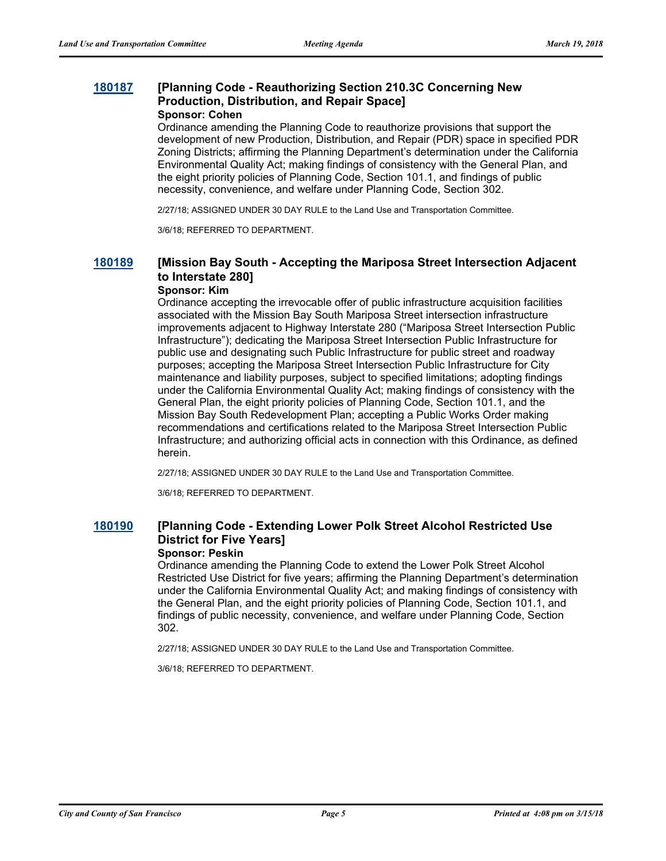#### **[180187](http://sfgov.legistar.com/gateway.aspx?m=l&id=33056) [Planning Code - Reauthorizing Section 210.3C Concerning New Production, Distribution, and Repair Space] Sponsor: Cohen**

Ordinance amending the Planning Code to reauthorize provisions that support the development of new Production, Distribution, and Repair (PDR) space in specified PDR Zoning Districts; affirming the Planning Department's determination under the California Environmental Quality Act; making findings of consistency with the General Plan, and the eight priority policies of Planning Code, Section 101.1, and findings of public necessity, convenience, and welfare under Planning Code, Section 302.

2/27/18; ASSIGNED UNDER 30 DAY RULE to the Land Use and Transportation Committee.

3/6/18; REFERRED TO DEPARTMENT.

### **[180189](http://sfgov.legistar.com/gateway.aspx?m=l&id=33058) [Mission Bay South - Accepting the Mariposa Street Intersection Adjacent to Interstate 280]**

#### **Sponsor: Kim**

Ordinance accepting the irrevocable offer of public infrastructure acquisition facilities associated with the Mission Bay South Mariposa Street intersection infrastructure improvements adjacent to Highway Interstate 280 ("Mariposa Street Intersection Public Infrastructure"); dedicating the Mariposa Street Intersection Public Infrastructure for public use and designating such Public Infrastructure for public street and roadway purposes; accepting the Mariposa Street Intersection Public Infrastructure for City maintenance and liability purposes, subject to specified limitations; adopting findings under the California Environmental Quality Act; making findings of consistency with the General Plan, the eight priority policies of Planning Code, Section 101.1, and the Mission Bay South Redevelopment Plan; accepting a Public Works Order making recommendations and certifications related to the Mariposa Street Intersection Public Infrastructure; and authorizing official acts in connection with this Ordinance, as defined herein.

2/27/18; ASSIGNED UNDER 30 DAY RULE to the Land Use and Transportation Committee.

3/6/18; REFERRED TO DEPARTMENT.

### **[180190](http://sfgov.legistar.com/gateway.aspx?m=l&id=33059) [Planning Code - Extending Lower Polk Street Alcohol Restricted Use District for Five Years]**

#### **Sponsor: Peskin**

Ordinance amending the Planning Code to extend the Lower Polk Street Alcohol Restricted Use District for five years; affirming the Planning Department's determination under the California Environmental Quality Act; and making findings of consistency with the General Plan, and the eight priority policies of Planning Code, Section 101.1, and findings of public necessity, convenience, and welfare under Planning Code, Section 302.

2/27/18; ASSIGNED UNDER 30 DAY RULE to the Land Use and Transportation Committee.

3/6/18; REFERRED TO DEPARTMENT.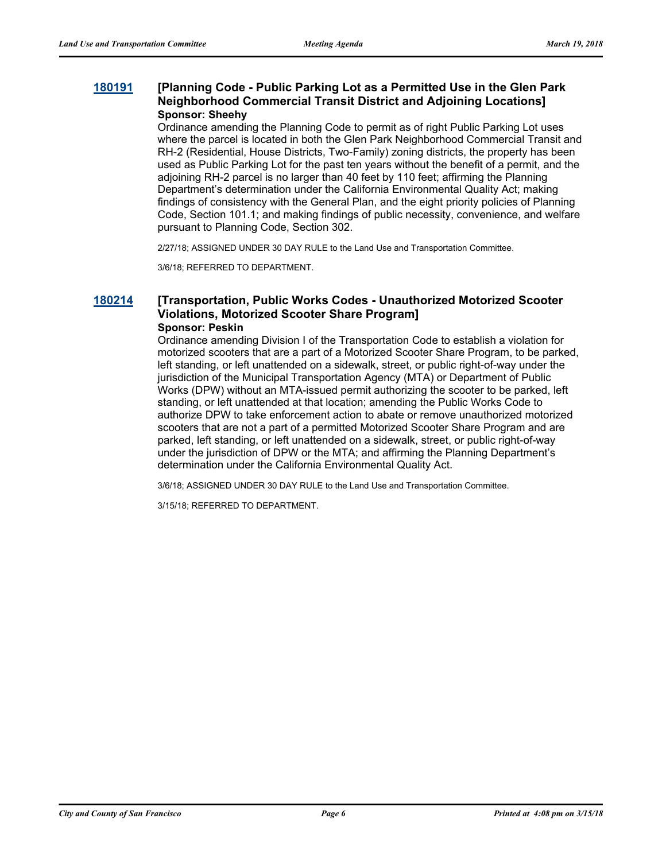#### **[180191](http://sfgov.legistar.com/gateway.aspx?m=l&id=33060) [Planning Code - Public Parking Lot as a Permitted Use in the Glen Park Neighborhood Commercial Transit District and Adjoining Locations] Sponsor: Sheehy**

Ordinance amending the Planning Code to permit as of right Public Parking Lot uses where the parcel is located in both the Glen Park Neighborhood Commercial Transit and RH-2 (Residential, House Districts, Two-Family) zoning districts, the property has been used as Public Parking Lot for the past ten years without the benefit of a permit, and the adjoining RH-2 parcel is no larger than 40 feet by 110 feet; affirming the Planning Department's determination under the California Environmental Quality Act; making findings of consistency with the General Plan, and the eight priority policies of Planning Code, Section 101.1; and making findings of public necessity, convenience, and welfare pursuant to Planning Code, Section 302.

2/27/18; ASSIGNED UNDER 30 DAY RULE to the Land Use and Transportation Committee.

3/6/18; REFERRED TO DEPARTMENT.

#### **[180214](http://sfgov.legistar.com/gateway.aspx?m=l&id=33083) [Transportation, Public Works Codes - Unauthorized Motorized Scooter Violations, Motorized Scooter Share Program] Sponsor: Peskin**

Ordinance amending Division I of the Transportation Code to establish a violation for motorized scooters that are a part of a Motorized Scooter Share Program, to be parked, left standing, or left unattended on a sidewalk, street, or public right-of-way under the jurisdiction of the Municipal Transportation Agency (MTA) or Department of Public Works (DPW) without an MTA-issued permit authorizing the scooter to be parked, left standing, or left unattended at that location; amending the Public Works Code to authorize DPW to take enforcement action to abate or remove unauthorized motorized scooters that are not a part of a permitted Motorized Scooter Share Program and are parked, left standing, or left unattended on a sidewalk, street, or public right-of-way under the jurisdiction of DPW or the MTA; and affirming the Planning Department's determination under the California Environmental Quality Act.

3/6/18; ASSIGNED UNDER 30 DAY RULE to the Land Use and Transportation Committee.

3/15/18; REFERRED TO DEPARTMENT.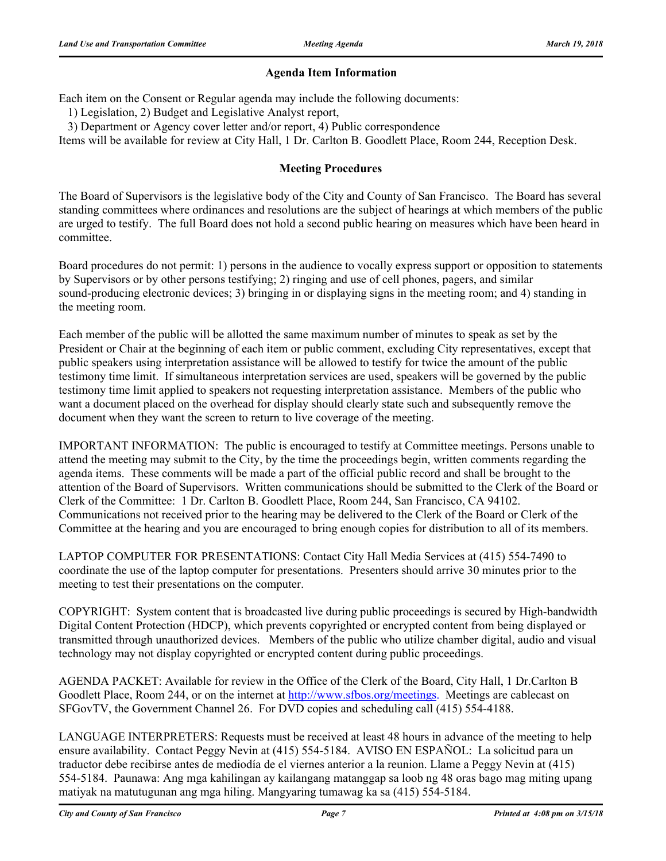#### **Agenda Item Information**

Each item on the Consent or Regular agenda may include the following documents:

1) Legislation, 2) Budget and Legislative Analyst report,

3) Department or Agency cover letter and/or report, 4) Public correspondence

Items will be available for review at City Hall, 1 Dr. Carlton B. Goodlett Place, Room 244, Reception Desk.

#### **Meeting Procedures**

The Board of Supervisors is the legislative body of the City and County of San Francisco. The Board has several standing committees where ordinances and resolutions are the subject of hearings at which members of the public are urged to testify. The full Board does not hold a second public hearing on measures which have been heard in committee.

Board procedures do not permit: 1) persons in the audience to vocally express support or opposition to statements by Supervisors or by other persons testifying; 2) ringing and use of cell phones, pagers, and similar sound-producing electronic devices; 3) bringing in or displaying signs in the meeting room; and 4) standing in the meeting room.

Each member of the public will be allotted the same maximum number of minutes to speak as set by the President or Chair at the beginning of each item or public comment, excluding City representatives, except that public speakers using interpretation assistance will be allowed to testify for twice the amount of the public testimony time limit. If simultaneous interpretation services are used, speakers will be governed by the public testimony time limit applied to speakers not requesting interpretation assistance. Members of the public who want a document placed on the overhead for display should clearly state such and subsequently remove the document when they want the screen to return to live coverage of the meeting.

IMPORTANT INFORMATION: The public is encouraged to testify at Committee meetings. Persons unable to attend the meeting may submit to the City, by the time the proceedings begin, written comments regarding the agenda items. These comments will be made a part of the official public record and shall be brought to the attention of the Board of Supervisors. Written communications should be submitted to the Clerk of the Board or Clerk of the Committee: 1 Dr. Carlton B. Goodlett Place, Room 244, San Francisco, CA 94102. Communications not received prior to the hearing may be delivered to the Clerk of the Board or Clerk of the Committee at the hearing and you are encouraged to bring enough copies for distribution to all of its members.

LAPTOP COMPUTER FOR PRESENTATIONS: Contact City Hall Media Services at (415) 554-7490 to coordinate the use of the laptop computer for presentations. Presenters should arrive 30 minutes prior to the meeting to test their presentations on the computer.

COPYRIGHT: System content that is broadcasted live during public proceedings is secured by High-bandwidth Digital Content Protection (HDCP), which prevents copyrighted or encrypted content from being displayed or transmitted through unauthorized devices. Members of the public who utilize chamber digital, audio and visual technology may not display copyrighted or encrypted content during public proceedings.

AGENDA PACKET: Available for review in the Office of the Clerk of the Board, City Hall, 1 Dr.Carlton B Goodlett Place, Room 244, or on the internet at http://www.sfbos.org/meetings. Meetings are cablecast on SFGovTV, the Government Channel 26. For DVD copies and scheduling call (415) 554-4188.

LANGUAGE INTERPRETERS: Requests must be received at least 48 hours in advance of the meeting to help ensure availability. Contact Peggy Nevin at (415) 554-5184. AVISO EN ESPAÑOL: La solicitud para un traductor debe recibirse antes de mediodía de el viernes anterior a la reunion. Llame a Peggy Nevin at (415) 554-5184. Paunawa: Ang mga kahilingan ay kailangang matanggap sa loob ng 48 oras bago mag miting upang matiyak na matutugunan ang mga hiling. Mangyaring tumawag ka sa (415) 554-5184.